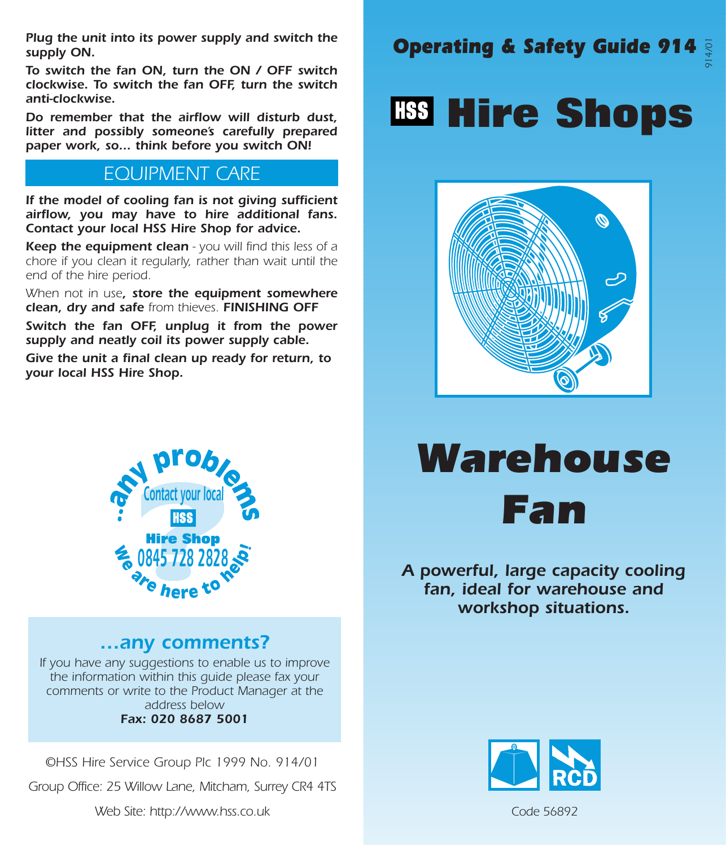Plug the unit into its power supply and switch the **Operating & Safety Guide 914** supply ON.

To switch the fan ON, turn the ON / OFF switch clockwise. To switch the fan OFF, turn the switch anti-clockwise.

Do remember that the airflow will disturb dust, litter and possibly someone's carefully prepared paper work, so... think before you switch ON!

### EQUIPMENT CARE

If the model of cooling fan is not giving sufficient airflow, you may have to hire additional fans. Contact your local HSS Hire Shop for advice.

Keep the equipment clean - you will find this less of a chore if you clean it regularly, rather than wait until the end of the hire period.

When not in use, store the equipment somewhere clean, dry and safe from thieves. FINISHING OFF

Switch the fan OFF, unplug it from the power supply and neatly coil its power supply cable.

Give the unit a final clean up ready for return, to your local HSS Hire Shop.



### …any comments?

If you have any suggestions to enable us to improve the information within this guide please fax your comments or write to the Product Manager at the address below Fax: 020 8687 5001

©HSS Hire Service Group Plc 1999 No. 914/01

Group Office: 25 Willow Lane, Mitcham, Surrey CR4 4TS

Web Site: http://www.hss.co.uk

### 914/01

## **Hire Shops**



# Warehouse Fan

#### A powerful, large capacity cooling fan, ideal for warehouse and workshop situations.



Code 56892